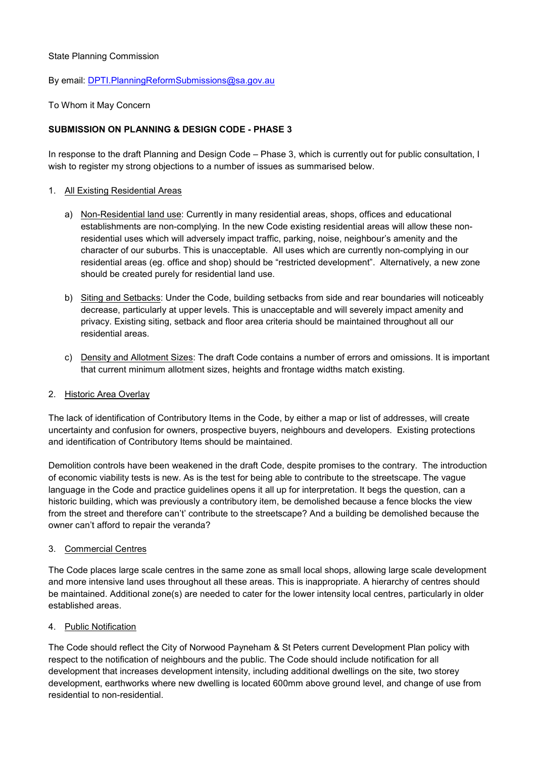### State Planning Commission

### By email: [DPTI.PlanningReformSubmissions@sa.gov.au](mailto:DPTI.PlanningReformSubmissions@sa.gov.au)

### To Whom it May Concern

# **SUBMISSION ON PLANNING & DESIGN CODE - PHASE 3**

In response to the draft Planning and Design Code – Phase 3, which is currently out for public consultation, I wish to register my strong objections to a number of issues as summarised below.

### 1. All Existing Residential Areas

- a) Non-Residential land use: Currently in many residential areas, shops, offices and educational establishments are non-complying. In the new Code existing residential areas will allow these nonresidential uses which will adversely impact traffic, parking, noise, neighbour's amenity and the character of our suburbs. This is unacceptable. All uses which are currently non-complying in our residential areas (eg. office and shop) should be "restricted development". Alternatively, a new zone should be created purely for residential land use.
- b) Siting and Setbacks: Under the Code, building setbacks from side and rear boundaries will noticeably decrease, particularly at upper levels. This is unacceptable and will severely impact amenity and privacy. Existing siting, setback and floor area criteria should be maintained throughout all our residential areas.
- c) Density and Allotment Sizes: The draft Code contains a number of errors and omissions. It is important that current minimum allotment sizes, heights and frontage widths match existing.

# 2. Historic Area Overlay

The lack of identification of Contributory Items in the Code, by either a map or list of addresses, will create uncertainty and confusion for owners, prospective buyers, neighbours and developers. Existing protections and identification of Contributory Items should be maintained.

Demolition controls have been weakened in the draft Code, despite promises to the contrary. The introduction of economic viability tests is new. As is the test for being able to contribute to the streetscape. The vague language in the Code and practice guidelines opens it all up for interpretation. It begs the question, can a historic building, which was previously a contributory item, be demolished because a fence blocks the view from the street and therefore can't' contribute to the streetscape? And a building be demolished because the owner can't afford to repair the veranda?

#### 3. Commercial Centres

The Code places large scale centres in the same zone as small local shops, allowing large scale development and more intensive land uses throughout all these areas. This is inappropriate. A hierarchy of centres should be maintained. Additional zone(s) are needed to cater for the lower intensity local centres, particularly in older established areas.

# 4. Public Notification

The Code should reflect the City of Norwood Payneham & St Peters current Development Plan policy with respect to the notification of neighbours and the public. The Code should include notification for all development that increases development intensity, including additional dwellings on the site, two storey development, earthworks where new dwelling is located 600mm above ground level, and change of use from residential to non-residential.